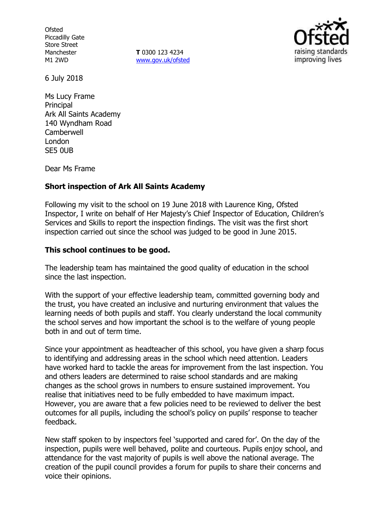**Ofsted** Piccadilly Gate Store Street Manchester M1 2WD

**T** 0300 123 4234 www.gov.uk/ofsted



6 July 2018

Ms Lucy Frame **Principal** Ark All Saints Academy 140 Wyndham Road **Camberwell** London SE5 0UB

Dear Ms Frame

### **Short inspection of Ark All Saints Academy**

Following my visit to the school on 19 June 2018 with Laurence King, Ofsted Inspector, I write on behalf of Her Majesty's Chief Inspector of Education, Children's Services and Skills to report the inspection findings. The visit was the first short inspection carried out since the school was judged to be good in June 2015.

### **This school continues to be good.**

The leadership team has maintained the good quality of education in the school since the last inspection.

With the support of your effective leadership team, committed governing body and the trust, you have created an inclusive and nurturing environment that values the learning needs of both pupils and staff. You clearly understand the local community the school serves and how important the school is to the welfare of young people both in and out of term time.

Since your appointment as headteacher of this school, you have given a sharp focus to identifying and addressing areas in the school which need attention. Leaders have worked hard to tackle the areas for improvement from the last inspection. You and others leaders are determined to raise school standards and are making changes as the school grows in numbers to ensure sustained improvement. You realise that initiatives need to be fully embedded to have maximum impact. However, you are aware that a few policies need to be reviewed to deliver the best outcomes for all pupils, including the school's policy on pupils' response to teacher feedback.

New staff spoken to by inspectors feel 'supported and cared for'. On the day of the inspection, pupils were well behaved, polite and courteous. Pupils enjoy school, and attendance for the vast majority of pupils is well above the national average. The creation of the pupil council provides a forum for pupils to share their concerns and voice their opinions.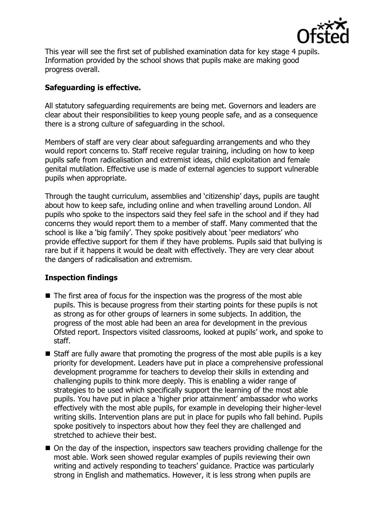

This year will see the first set of published examination data for key stage 4 pupils. Information provided by the school shows that pupils make are making good progress overall.

# **Safeguarding is effective.**

All statutory safeguarding requirements are being met. Governors and leaders are clear about their responsibilities to keep young people safe, and as a consequence there is a strong culture of safeguarding in the school.

Members of staff are very clear about safeguarding arrangements and who they would report concerns to. Staff receive regular training, including on how to keep pupils safe from radicalisation and extremist ideas, child exploitation and female genital mutilation. Effective use is made of external agencies to support vulnerable pupils when appropriate.

Through the taught curriculum, assemblies and 'citizenship' days, pupils are taught about how to keep safe, including online and when travelling around London. All pupils who spoke to the inspectors said they feel safe in the school and if they had concerns they would report them to a member of staff. Many commented that the school is like a 'big family'. They spoke positively about 'peer mediators' who provide effective support for them if they have problems. Pupils said that bullying is rare but if it happens it would be dealt with effectively. They are very clear about the dangers of radicalisation and extremism.

### **Inspection findings**

- $\blacksquare$  The first area of focus for the inspection was the progress of the most able pupils. This is because progress from their starting points for these pupils is not as strong as for other groups of learners in some subjects. In addition, the progress of the most able had been an area for development in the previous Ofsted report. Inspectors visited classrooms, looked at pupils' work, and spoke to staff.
- $\blacksquare$  Staff are fully aware that promoting the progress of the most able pupils is a key priority for development. Leaders have put in place a comprehensive professional development programme for teachers to develop their skills in extending and challenging pupils to think more deeply. This is enabling a wider range of strategies to be used which specifically support the learning of the most able pupils. You have put in place a 'higher prior attainment' ambassador who works effectively with the most able pupils, for example in developing their higher-level writing skills. Intervention plans are put in place for pupils who fall behind. Pupils spoke positively to inspectors about how they feel they are challenged and stretched to achieve their best.
- On the day of the inspection, inspectors saw teachers providing challenge for the most able. Work seen showed regular examples of pupils reviewing their own writing and actively responding to teachers' guidance. Practice was particularly strong in English and mathematics. However, it is less strong when pupils are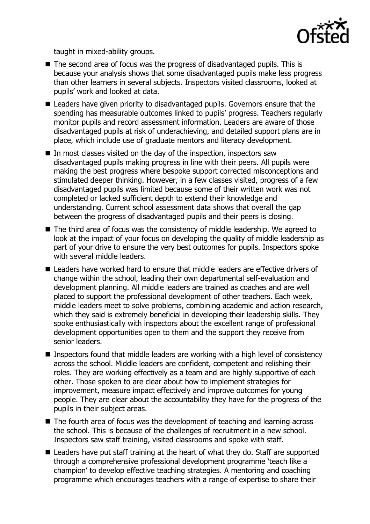

taught in mixed-ability groups.

- The second area of focus was the progress of disadvantaged pupils. This is because your analysis shows that some disadvantaged pupils make less progress than other learners in several subjects. Inspectors visited classrooms, looked at pupils' work and looked at data.
- Leaders have given priority to disadvantaged pupils. Governors ensure that the spending has measurable outcomes linked to pupils' progress. Teachers regularly monitor pupils and record assessment information. Leaders are aware of those disadvantaged pupils at risk of underachieving, and detailed support plans are in place, which include use of graduate mentors and literacy development.
- In most classes visited on the day of the inspection, inspectors saw disadvantaged pupils making progress in line with their peers. All pupils were making the best progress where bespoke support corrected misconceptions and stimulated deeper thinking. However, in a few classes visited, progress of a few disadvantaged pupils was limited because some of their written work was not completed or lacked sufficient depth to extend their knowledge and understanding. Current school assessment data shows that overall the gap between the progress of disadvantaged pupils and their peers is closing.
- The third area of focus was the consistency of middle leadership. We agreed to look at the impact of your focus on developing the quality of middle leadership as part of your drive to ensure the very best outcomes for pupils. Inspectors spoke with several middle leaders.
- Leaders have worked hard to ensure that middle leaders are effective drivers of change within the school, leading their own departmental self-evaluation and development planning. All middle leaders are trained as coaches and are well placed to support the professional development of other teachers. Each week, middle leaders meet to solve problems, combining academic and action research, which they said is extremely beneficial in developing their leadership skills. They spoke enthusiastically with inspectors about the excellent range of professional development opportunities open to them and the support they receive from senior leaders.
- **Inspectors found that middle leaders are working with a high level of consistency** across the school. Middle leaders are confident, competent and relishing their roles. They are working effectively as a team and are highly supportive of each other. Those spoken to are clear about how to implement strategies for improvement, measure impact effectively and improve outcomes for young people. They are clear about the accountability they have for the progress of the pupils in their subject areas.
- The fourth area of focus was the development of teaching and learning across the school. This is because of the challenges of recruitment in a new school. Inspectors saw staff training, visited classrooms and spoke with staff.
- Leaders have put staff training at the heart of what they do. Staff are supported through a comprehensive professional development programme 'teach like a champion' to develop effective teaching strategies. A mentoring and coaching programme which encourages teachers with a range of expertise to share their